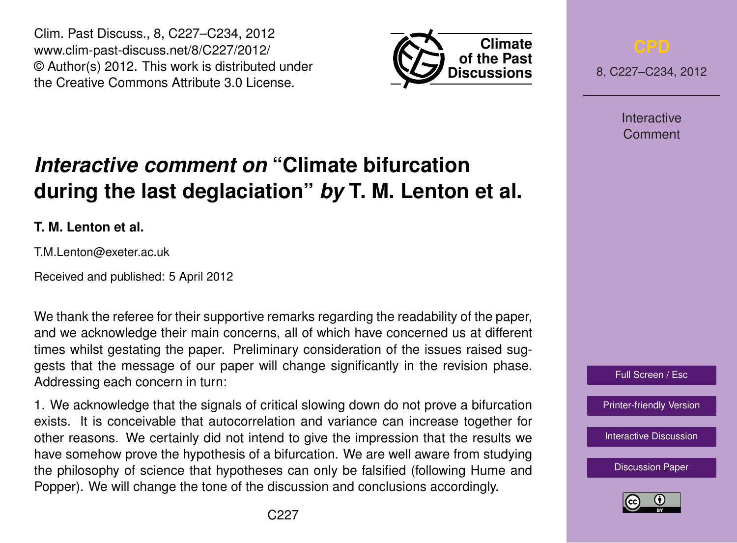Clim. Past Discuss., 8, C227–C234, 2012 www.clim-past-discuss.net/8/C227/2012/ © Author(s) 2012. This work is distributed under the Creative Commons Attribute 3.0 License.



8, C227–C234, 2012

Interactive Comment

## Full Screen / Esc

[Printer-friendly Version](http://www.clim-past-discuss.net/8/C227/2012/cpd-8-C227-2012-print.pdf)

[Interactive Discussion](http://www.clim-past-discuss.net/8/321/2012/cpd-8-321-2012-discussion.html)

[Discussion Paper](http://www.clim-past-discuss.net/8/321/2012/cpd-8-321-2012.pdf)



# *Interactive comment on* **"Climate bifurcation during the last deglaciation"** *by* **T. M. Lenton et al.**

**T. M. Lenton et al.**

T.M.Lenton@exeter.ac.uk

Received and published: 5 April 2012

We thank the referee for their supportive remarks regarding the readability of the paper, and we acknowledge their main concerns, all of which have concerned us at different times whilst gestating the paper. Preliminary consideration of the issues raised suggests that the message of our paper will change significantly in the revision phase. Addressing each concern in turn:

1. We acknowledge that the signals of critical slowing down do not prove a bifurcation exists. It is conceivable that autocorrelation and variance can increase together for other reasons. We certainly did not intend to give the impression that the results we have somehow prove the hypothesis of a bifurcation. We are well aware from studying the philosophy of science that hypotheses can only be falsified (following Hume and Popper). We will change the tone of the discussion and conclusions accordingly.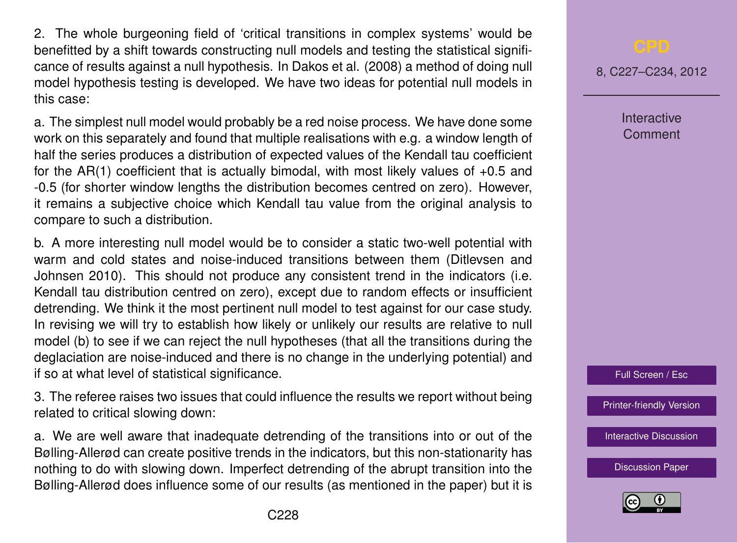2. The whole burgeoning field of 'critical transitions in complex systems' would be benefitted by a shift towards constructing null models and testing the statistical significance of results against a null hypothesis. In Dakos et al. (2008) a method of doing null model hypothesis testing is developed. We have two ideas for potential null models in this case:

a. The simplest null model would probably be a red noise process. We have done some work on this separately and found that multiple realisations with e.g. a window length of half the series produces a distribution of expected values of the Kendall tau coefficient for the AR(1) coefficient that is actually bimodal, with most likely values of +0.5 and -0.5 (for shorter window lengths the distribution becomes centred on zero). However, it remains a subjective choice which Kendall tau value from the original analysis to compare to such a distribution.

b. A more interesting null model would be to consider a static two-well potential with warm and cold states and noise-induced transitions between them (Ditlevsen and Johnsen 2010). This should not produce any consistent trend in the indicators (i.e. Kendall tau distribution centred on zero), except due to random effects or insufficient detrending. We think it the most pertinent null model to test against for our case study. In revising we will try to establish how likely or unlikely our results are relative to null model (b) to see if we can reject the null hypotheses (that all the transitions during the deglaciation are noise-induced and there is no change in the underlying potential) and if so at what level of statistical significance.

3. The referee raises two issues that could influence the results we report without being related to critical slowing down:

a. We are well aware that inadequate detrending of the transitions into or out of the Bølling-Allerød can create positive trends in the indicators, but this non-stationarity has nothing to do with slowing down. Imperfect detrending of the abrupt transition into the Bølling-Allerød does influence some of our results (as mentioned in the paper) but it is

8, C227–C234, 2012

**Interactive** Comment



[Printer-friendly Version](http://www.clim-past-discuss.net/8/C227/2012/cpd-8-C227-2012-print.pdf)

[Interactive Discussion](http://www.clim-past-discuss.net/8/321/2012/cpd-8-321-2012-discussion.html)

[Discussion Paper](http://www.clim-past-discuss.net/8/321/2012/cpd-8-321-2012.pdf)

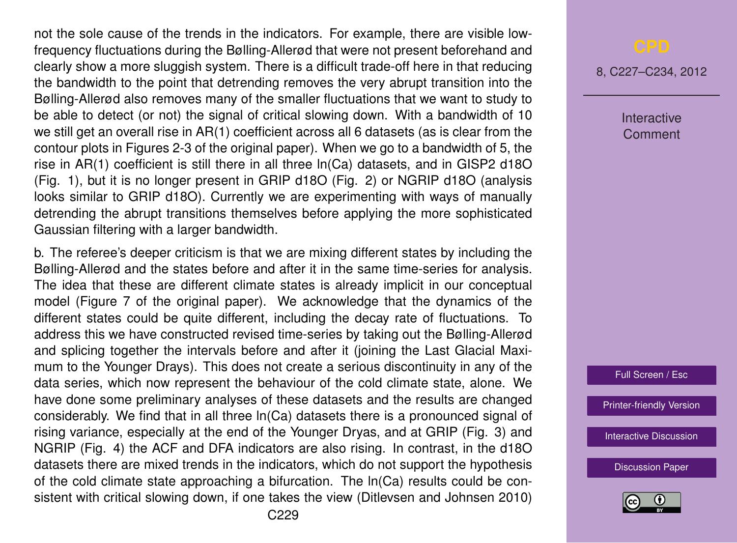not the sole cause of the trends in the indicators. For example, there are visible lowfrequency fluctuations during the Bølling-Allerød that were not present beforehand and clearly show a more sluggish system. There is a difficult trade-off here in that reducing the bandwidth to the point that detrending removes the very abrupt transition into the Bølling-Allerød also removes many of the smaller fluctuations that we want to study to be able to detect (or not) the signal of critical slowing down. With a bandwidth of 10 we still get an overall rise in AR(1) coefficient across all 6 datasets (as is clear from the contour plots in Figures 2-3 of the original paper). When we go to a bandwidth of 5, the rise in AR(1) coefficient is still there in all three ln(Ca) datasets, and in GISP2 d18O (Fig. 1), but it is no longer present in GRIP d18O (Fig. 2) or NGRIP d18O (analysis looks similar to GRIP d18O). Currently we are experimenting with ways of manually detrending the abrupt transitions themselves before applying the more sophisticated Gaussian filtering with a larger bandwidth.

b. The referee's deeper criticism is that we are mixing different states by including the Bølling-Allerød and the states before and after it in the same time-series for analysis. The idea that these are different climate states is already implicit in our conceptual model (Figure 7 of the original paper). We acknowledge that the dynamics of the different states could be quite different, including the decay rate of fluctuations. To address this we have constructed revised time-series by taking out the Bølling-Allerød and splicing together the intervals before and after it (joining the Last Glacial Maximum to the Younger Drays). This does not create a serious discontinuity in any of the data series, which now represent the behaviour of the cold climate state, alone. We have done some preliminary analyses of these datasets and the results are changed considerably. We find that in all three ln(Ca) datasets there is a pronounced signal of rising variance, especially at the end of the Younger Dryas, and at GRIP (Fig. 3) and NGRIP (Fig. 4) the ACF and DFA indicators are also rising. In contrast, in the d18O datasets there are mixed trends in the indicators, which do not support the hypothesis of the cold climate state approaching a bifurcation. The ln(Ca) results could be consistent with critical slowing down, if one takes the view (Ditlevsen and Johnsen 2010)

8, C227–C234, 2012

**Interactive** Comment

Full Screen / Esc

[Printer-friendly Version](http://www.clim-past-discuss.net/8/C227/2012/cpd-8-C227-2012-print.pdf)

[Interactive Discussion](http://www.clim-past-discuss.net/8/321/2012/cpd-8-321-2012-discussion.html)

[Discussion Paper](http://www.clim-past-discuss.net/8/321/2012/cpd-8-321-2012.pdf)

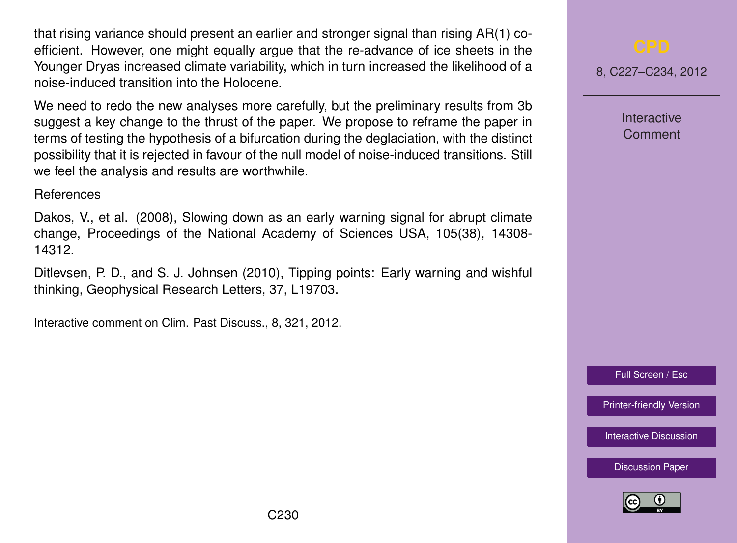that rising variance should present an earlier and stronger signal than rising AR(1) coefficient. However, one might equally argue that the re-advance of ice sheets in the Younger Dryas increased climate variability, which in turn increased the likelihood of a noise-induced transition into the Holocene.

We need to redo the new analyses more carefully, but the preliminary results from 3b suggest a key change to the thrust of the paper. We propose to reframe the paper in terms of testing the hypothesis of a bifurcation during the deglaciation, with the distinct possibility that it is rejected in favour of the null model of noise-induced transitions. Still we feel the analysis and results are worthwhile.

## References

Dakos, V., et al. (2008), Slowing down as an early warning signal for abrupt climate change, Proceedings of the National Academy of Sciences USA, 105(38), 14308- 14312.

Ditlevsen, P. D., and S. J. Johnsen (2010), Tipping points: Early warning and wishful thinking, Geophysical Research Letters, 37, L19703.

8, C227–C234, 2012

**Interactive Comment** 

Full Screen / Esc

[Printer-friendly Version](http://www.clim-past-discuss.net/8/C227/2012/cpd-8-C227-2012-print.pdf)

[Interactive Discussion](http://www.clim-past-discuss.net/8/321/2012/cpd-8-321-2012-discussion.html)

[Discussion Paper](http://www.clim-past-discuss.net/8/321/2012/cpd-8-321-2012.pdf)



Interactive comment on Clim. Past Discuss., 8, 321, 2012.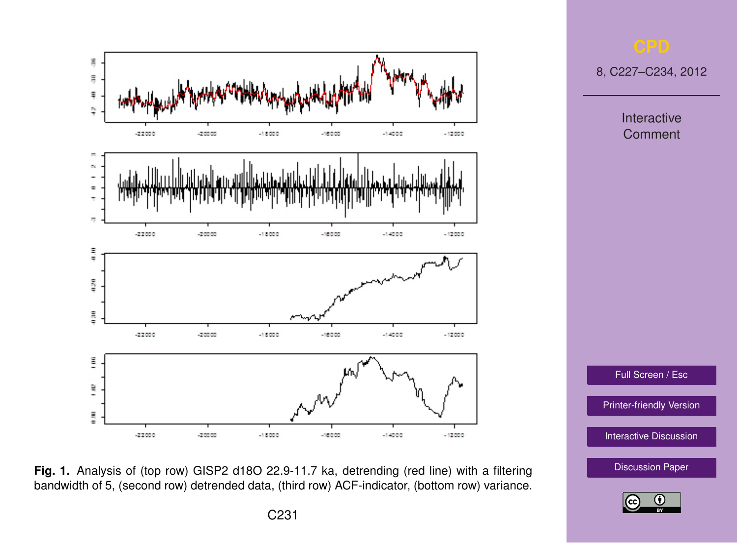

Fig. 1. Analysis of (top row) GISP2 d18O 22.9-11.7 ka, detrending (red line) with a filtering **[Discussion Paper](http://www.clim-past-discuss.net/8/321/2012/cpd-8-321-2012.pdf)** bandwidth of 5, (second row) detrended data, (third row) ACF-indicator, (bottom row) variance.

8, C227–C234, 2012

Interactive Comment

Full Screen / Esc

[Printer-friendly Version](http://www.clim-past-discuss.net/8/C227/2012/cpd-8-C227-2012-print.pdf)

[Interactive Discussion](http://www.clim-past-discuss.net/8/321/2012/cpd-8-321-2012-discussion.html)

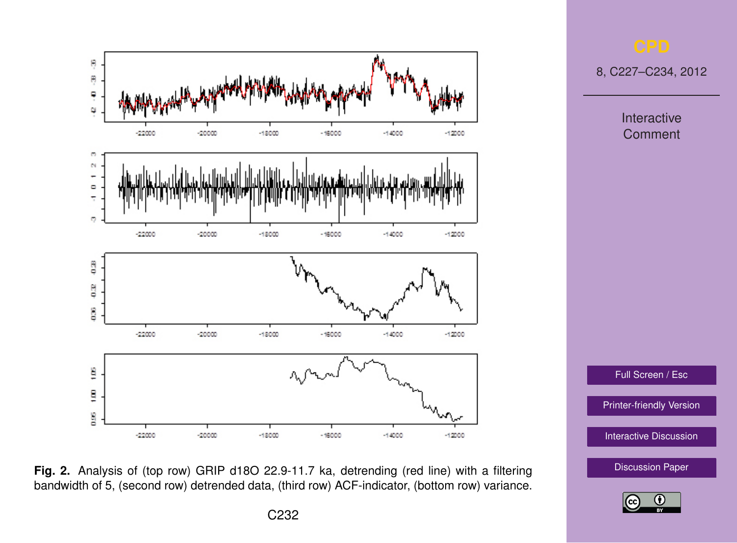

[Discussion Paper](http://www.clim-past-discuss.net/8/321/2012/cpd-8-321-2012.pdf) **Fig. 2.** Analysis of (top row) GRIP d18O 22.9-11.7 ka, detrending (red line) with a filtering bandwidth of 5, (second row) detrended data, (third row) ACF-indicator, (bottom row) variance.

8, C227–C234, 2012

Interactive Comment

Full Screen / Esc

[Printer-friendly Version](http://www.clim-past-discuss.net/8/C227/2012/cpd-8-C227-2012-print.pdf)

[Interactive Discussion](http://www.clim-past-discuss.net/8/321/2012/cpd-8-321-2012-discussion.html)

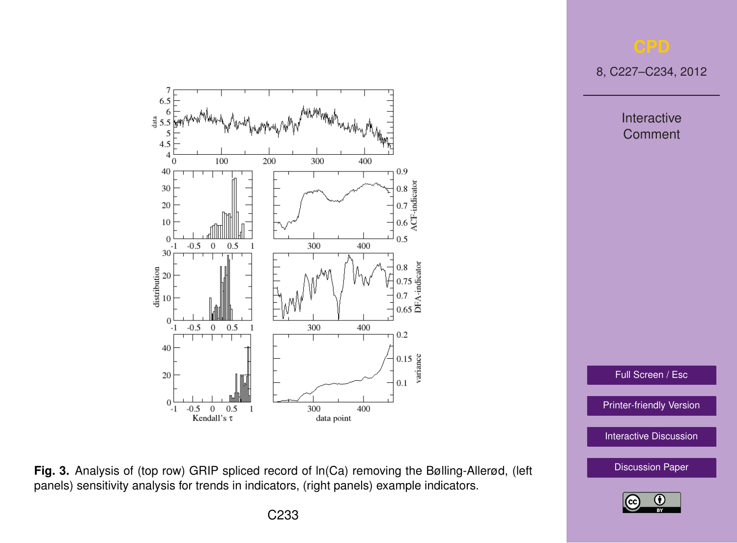8, C227–C234, 2012

Interactive Comment



[Printer-friendly Version](http://www.clim-past-discuss.net/8/C227/2012/cpd-8-C227-2012-print.pdf)

[Interactive Discussion](http://www.clim-past-discuss.net/8/321/2012/cpd-8-321-2012-discussion.html)





Fig. 3. Analysis of (top row) GRIP spliced record of ln(Ca) removing the Bølling-Allerød, (left [Discussion Paper](http://www.clim-past-discuss.net/8/321/2012/cpd-8-321-2012.pdf) panels) sensitivity analysis for trends in indicators, (right panels) example indicators.